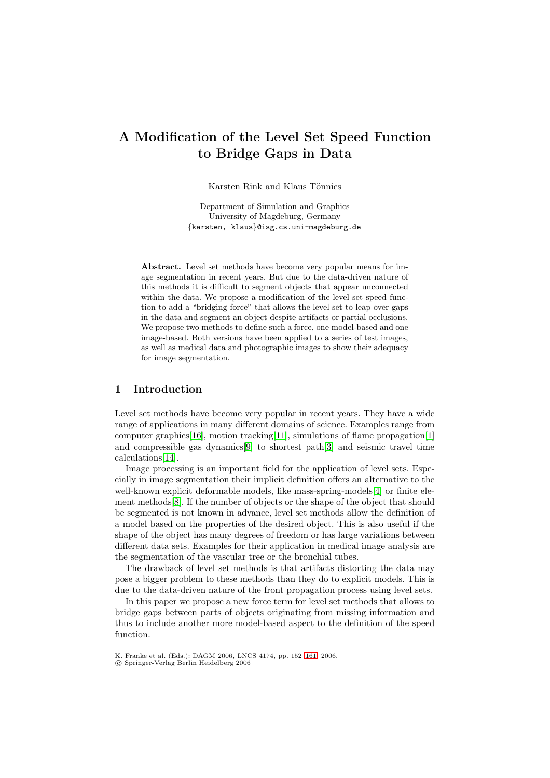# **A Modification of the Level Set Speed Function to Bridge Gaps in Data**

Karsten Rink and Klaus Tönnies

Department of Simulation and Graphics University of Magdeburg, Germany *{*karsten, klaus*}*@isg.cs.uni-magdeburg.de

**Abstract.** Level set methods have become very popular means for image segmentation in recent years. But due to the data-driven nature of this methods it is difficult to segment objects that appear unconnected within the data. We propose a modification of the level set speed function to add a "bridging force" that allows the level set to leap over gaps in the data and segment an object despite artifacts or partial occlusions. We propose two methods to define such a force, one model-based and one image-based. Both versions have been applied to a series of test images, as well as medical data and photographic images to show their adequacy for image segmentation.

# **1 Introduction**

Level set methods have become very popular in recent years. They have a wide range of applications in many different domains of science. Examples range from computer graphics [\[16\]](#page-9-0), motion tracking [\[11\]](#page-9-1), simulations of flame propagation [\[1\]](#page-9-2) and compressible gas dynamics[\[9\]](#page-9-3) to shortest path[\[3\]](#page-9-4) and seismic travel time calculations[\[14\]](#page-9-5).

Image processing is an important field for the application of level sets. Especially in image segmentation their implicit definition offers an alternative to the well-known explicit deformable models, like mass-spring-models[\[4\]](#page-9-6) or finite element methods[\[8\]](#page-9-7). If the number of objects or the shape of the object that should be segmented is not known in advance, level set methods allow the definition of a model based on the properties of the desired object. This is also useful if the shape of the object has many degrees of freedom or has large variations between different data sets. Examples for their application in medical image analysis are the segmentation of the vascular tree or the bronchial tubes.

The drawback of level set methods is that artifacts distorting the data may pose a bigger problem to these methods than they do to explicit models. This is due to the data-driven nature of the front propagation process using level sets.

In this paper we propose a new force term for level set methods that allows to bridge gaps between parts of objects originating from missing information and thus to include another more model-based aspect to the definition of the speed function.

K. Franke et al. (Eds.): DAGM 2006, LNCS 4174, pp. 152[–161,](#page-9-8) 2006.

<sup>-</sup>c Springer-Verlag Berlin Heidelberg 2006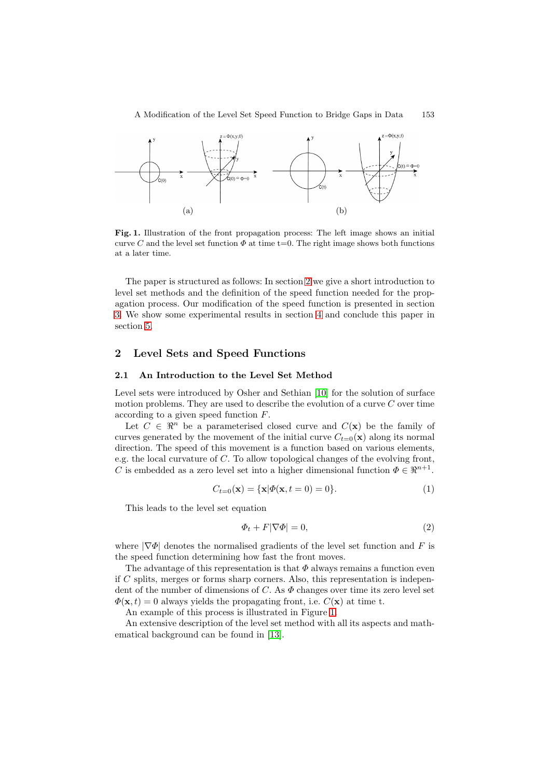A Modification of the Level Set Speed Function to Bridge Gaps in Data 153



<span id="page-1-1"></span>**Fig. 1.** Illustration of the front propagation process: The left image shows an initial curve C and the level set function  $\Phi$  at time t=0. The right image shows both functions at a later time.

The paper is structured as follows: In section [2](#page-1-0) we give a short introduction to level set methods and the definition of the speed function needed for the propagation process. Our modification of the speed function is presented in section [3.](#page-4-0) We show some experimental results in section [4](#page-5-0) and conclude this paper in section [5.](#page-6-0)

# <span id="page-1-0"></span>**2 Level Sets and Speed Functions**

#### **2.1 An Introduction to the Level Set Method**

Level sets were introduced by Osher and Sethian [\[10\]](#page-9-9) for the solution of surface motion problems. They are used to describe the evolution of a curve  $C$  over time according to a given speed function F.

Let  $C \in \mathbb{R}^n$  be a parameterised closed curve and  $C(\mathbf{x})$  be the family of curves generated by the movement of the initial curve  $C_{t=0}(\mathbf{x})$  along its normal direction. The speed of this movement is a function based on various elements, e.g. the local curvature of C. To allow topological changes of the evolving front, C is embedded as a zero level set into a higher dimensional function  $\Phi \in \mathbb{R}^{n+1}$ .

$$
C_{t=0}(\mathbf{x}) = {\mathbf{x}|\Phi(\mathbf{x}, t=0) = 0}.
$$
 (1)

This leads to the level set equation

$$
\Phi_t + F|\nabla\Phi| = 0,\t\t(2)
$$

where  $|\nabla \Phi|$  denotes the normalised gradients of the level set function and F is the speed function determining how fast the front moves.

The advantage of this representation is that  $\Phi$  always remains a function even if C splits, merges or forms sharp corners. Also, this representation is independent of the number of dimensions of  $C$ . As  $\Phi$  changes over time its zero level set  $\Phi(\mathbf{x}, t) = 0$  always yields the propagating front, i.e.  $C(\mathbf{x})$  at time t.

An example of this process is illustrated in Figure [1.](#page-1-1)

An extensive description of the level set method with all its aspects and mathematical background can be found in [\[13\]](#page-9-10).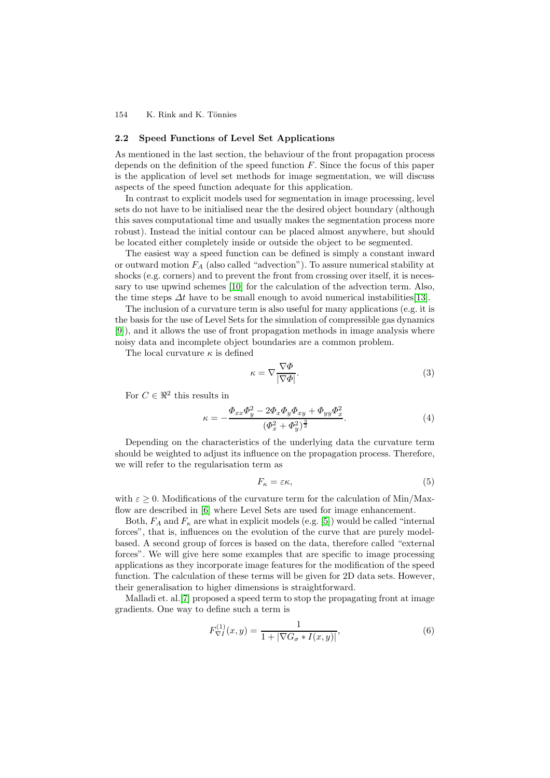154 K. Rink and K. Tönnies

### **2.2 Speed Functions of Level Set Applications**

As mentioned in the last section, the behaviour of the front propagation process depends on the definition of the speed function  $F$ . Since the focus of this paper is the application of level set methods for image segmentation, we will discuss aspects of the speed function adequate for this application.

In contrast to explicit models used for segmentation in image processing, level sets do not have to be initialised near the the desired object boundary (although this saves computational time and usually makes the segmentation process more robust). Instead the initial contour can be placed almost anywhere, but should be located either completely inside or outside the object to be segmented.

The easiest way a speed function can be defined is simply a constant inward or outward motion  $F_A$  (also called "advection"). To assure numerical stability at shocks (e.g. corners) and to prevent the front from crossing over itself, it is necessary to use upwind schemes [\[10\]](#page-9-9) for the calculation of the advection term. Also, the time steps  $\Delta t$  have to be small enough to avoid numerical instabilities [\[13\]](#page-9-10).

The inclusion of a curvature term is also useful for many applications (e.g. it is the basis for the use of Level Sets for the simulation of compressible gas dynamics [\[9\]](#page-9-3)), and it allows the use of front propagation methods in image analysis where noisy data and incomplete object boundaries are a common problem.

The local curvature  $\kappa$  is defined

$$
\kappa = \nabla \frac{\nabla \Phi}{|\nabla \Phi|}.\tag{3}
$$

For  $C\in\Re^2$  this results in

$$
\kappa = -\frac{\Phi_{xx}\Phi_y^2 - 2\Phi_x\Phi_y\Phi_{xy} + \Phi_{yy}\Phi_x^2}{(\Phi_x^2 + \Phi_y^2)^{\frac{3}{2}}}.
$$
\n(4)

Depending on the characteristics of the underlying data the curvature term should be weighted to adjust its influence on the propagation process. Therefore, we will refer to the regularisation term as

$$
F_{\kappa} = \varepsilon \kappa, \tag{5}
$$

with  $\varepsilon \geq 0$ . Modifications of the curvature term for the calculation of Min/Max-flow are described in [\[6\]](#page-9-11) where Level Sets are used for image enhancement.

Both,  $F_A$  and  $F_{\kappa}$  are what in explicit models (e.g. [\[5\]](#page-9-12)) would be called "internal forces", that is, influences on the evolution of the curve that are purely modelbased. A second group of forces is based on the data, therefore called "external forces". We will give here some examples that are specific to image processing applications as they incorporate image features for the modification of the speed function. The calculation of these terms will be given for 2D data sets. However, their generalisation to higher dimensions is straightforward.

Malladi et. al.[\[7\]](#page-9-13) proposed a speed term to stop the propagating front at image gradients. One way to define such a term is

$$
F_{\nabla I}^{(1)}(x,y) = \frac{1}{1 + |\nabla G_{\sigma} * I(x,y)|},\tag{6}
$$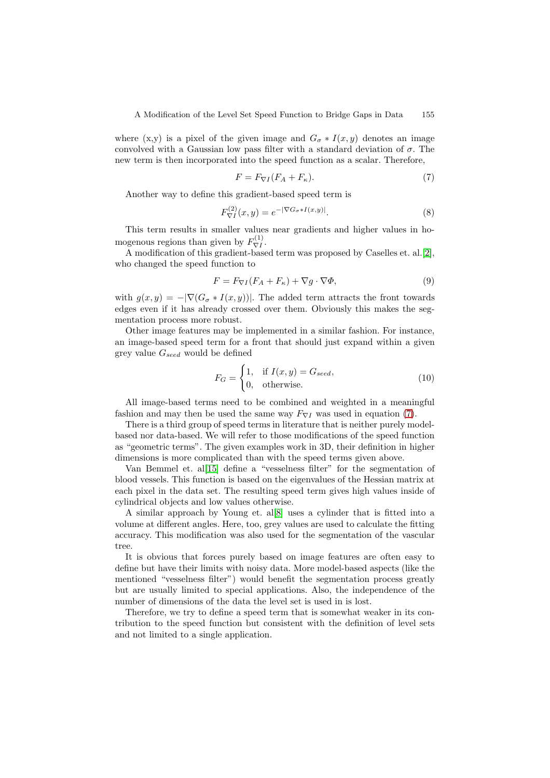where (x,y) is a pixel of the given image and  $G_{\sigma}*I(x,y)$  denotes an image convolved with a Gaussian low pass filter with a standard deviation of  $\sigma$ . The new term is then incorporated into the speed function as a scalar. Therefore,

<span id="page-3-0"></span>
$$
F = F_{\nabla I}(F_A + F_\kappa). \tag{7}
$$

Another way to define this gradient-based speed term is

$$
F_{\nabla I}^{(2)}(x,y) = e^{-|\nabla G_{\sigma}*I(x,y)|}.
$$
 (8)

This term results in smaller values near gradients and higher values in homogenous regions than given by  $F_{\nabla I}^{(1)}$ .<br>A modification of this gradient-base

A modification of this gradient-based term was proposed by Caselles et. al.[\[2\]](#page-9-14), who changed the speed function to

$$
F = F_{\nabla I}(F_A + F_\kappa) + \nabla g \cdot \nabla \Phi,\tag{9}
$$

with  $g(x, y) = -|\nabla(G_{\sigma} * I(x, y))|$ . The added term attracts the front towards edges even if it has already crossed over them. Obviously this makes the segmentation process more robust.

Other image features may be implemented in a similar fashion. For instance, an image-based speed term for a front that should just expand within a given grey value  $G_{seed}$  would be defined

$$
F_G = \begin{cases} 1, & \text{if } I(x, y) = G_{seed}, \\ 0, & \text{otherwise.} \end{cases}
$$
 (10)

All image-based terms need to be combined and weighted in a meaningful fashion and may then be used the same way  $F_{\nabla I}$  was used in equation [\(7\)](#page-3-0).

There is a third group of speed terms in literature that is neither purely modelbased nor data-based. We will refer to those modifications of the speed function as "geometric terms". The given examples work in 3D, their definition in higher dimensions is more complicated than with the speed terms given above.

Van Bemmel et. al[\[15\]](#page-9-15) define a "vesselness filter" for the segmentation of blood vessels. This function is based on the eigenvalues of the Hessian matrix at each pixel in the data set. The resulting speed term gives high values inside of cylindrical objects and low values otherwise.

A similar approach by Young et. al[\[8\]](#page-9-7) uses a cylinder that is fitted into a volume at different angles. Here, too, grey values are used to calculate the fitting accuracy. This modification was also used for the segmentation of the vascular tree.

It is obvious that forces purely based on image features are often easy to define but have their limits with noisy data. More model-based aspects (like the mentioned "vesselness filter") would benefit the segmentation process greatly but are usually limited to special applications. Also, the independence of the number of dimensions of the data the level set is used in is lost.

Therefore, we try to define a speed term that is somewhat weaker in its contribution to the speed function but consistent with the definition of level sets and not limited to a single application.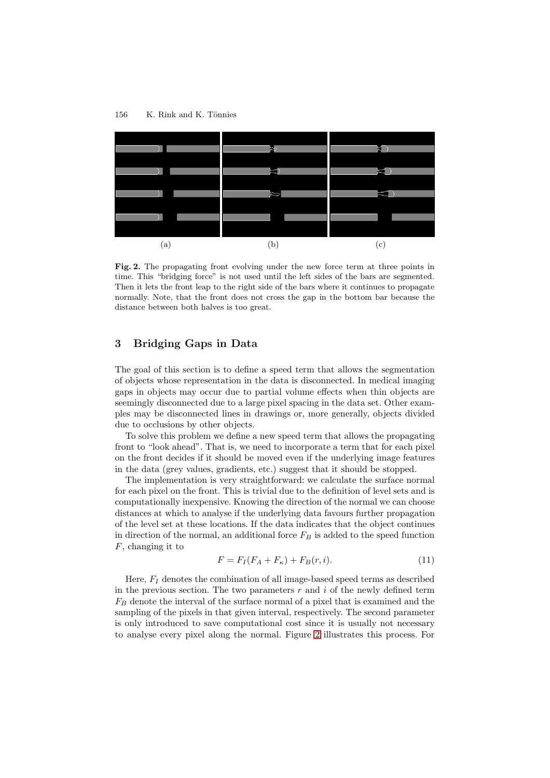

<span id="page-4-1"></span>**Fig. 2.** The propagating front evolving under the new force term at three points in time. This "bridging force" is not used until the left sides of the bars are segmented. Then it lets the front leap to the right side of the bars where it continues to propagate normally. Note, that the front does not cross the gap in the bottom bar because the distance between both halves is too great.

## <span id="page-4-0"></span>**3 Bridging Gaps in Data**

The goal of this section is to define a speed term that allows the segmentation of objects whose representation in the data is disconnected. In medical imaging gaps in objects may occur due to partial volume effects when thin objects are seemingly disconnected due to a large pixel spacing in the data set. Other examples may be disconnected lines in drawings or, more generally, objects divided due to occlusions by other objects.

To solve this problem we define a new speed term that allows the propagating front to "look ahead". That is, we need to incorporate a term that for each pixel on the front decides if it should be moved even if the underlying image features in the data (grey values, gradients, etc.) suggest that it should be stopped.

The implementation is very straightforward: we calculate the surface normal for each pixel on the front. This is trivial due to the definition of level sets and is computationally inexpensive. Knowing the direction of the normal we can choose distances at which to analyse if the underlying data favours further propagation of the level set at these locations. If the data indicates that the object continues in direction of the normal, an additional force  $F_B$  is added to the speed function  $F$ , changing it to

$$
F = F_I(F_A + F_{\kappa}) + F_B(r, i).
$$
 (11)

Here,  $F_I$  denotes the combination of all image-based speed terms as described in the previous section. The two parameters  $r$  and  $i$  of the newly defined term  $F_B$  denote the interval of the surface normal of a pixel that is examined and the sampling of the pixels in that given interval, respectively. The second parameter is only introduced to save computational cost since it is usually not necessary to analyse every pixel along the normal. Figure [2](#page-4-1) illustrates this process. For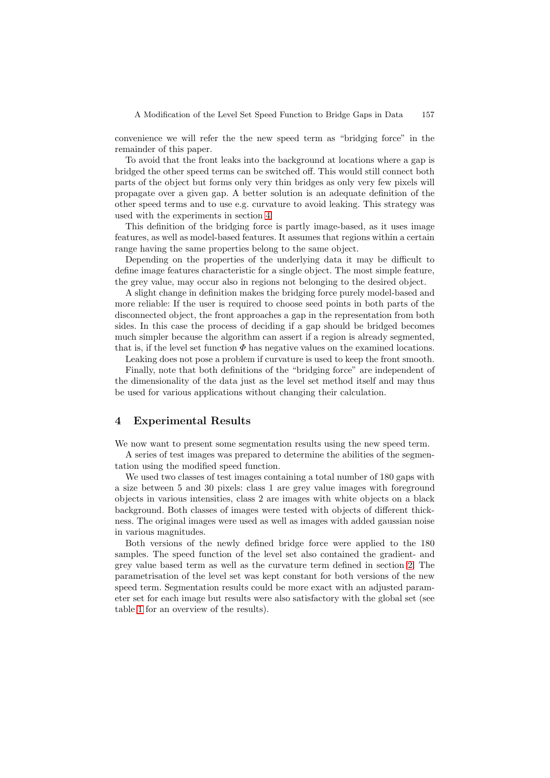convenience we will refer the the new speed term as "bridging force" in the remainder of this paper.

To avoid that the front leaks into the background at locations where a gap is bridged the other speed terms can be switched off. This would still connect both parts of the object but forms only very thin bridges as only very few pixels will propagate over a given gap. A better solution is an adequate definition of the other speed terms and to use e.g. curvature to avoid leaking. This strategy was used with the experiments in section [4.](#page-5-0)

This definition of the bridging force is partly image-based, as it uses image features, as well as model-based features. It assumes that regions within a certain range having the same properties belong to the same object.

Depending on the properties of the underlying data it may be difficult to define image features characteristic for a single object. The most simple feature, the grey value, may occur also in regions not belonging to the desired object.

A slight change in definition makes the bridging force purely model-based and more reliable: If the user is required to choose seed points in both parts of the disconnected object, the front approaches a gap in the representation from both sides. In this case the process of deciding if a gap should be bridged becomes much simpler because the algorithm can assert if a region is already segmented, that is, if the level set function  $\Phi$  has negative values on the examined locations.

Leaking does not pose a problem if curvature is used to keep the front smooth.

Finally, note that both definitions of the "bridging force" are independent of the dimensionality of the data just as the level set method itself and may thus be used for various applications without changing their calculation.

# <span id="page-5-0"></span>**4 Experimental Results**

We now want to present some segmentation results using the new speed term.

A series of test images was prepared to determine the abilities of the segmentation using the modified speed function.

We used two classes of test images containing a total number of 180 gaps with a size between 5 and 30 pixels: class 1 are grey value images with foreground objects in various intensities, class 2 are images with white objects on a black background. Both classes of images were tested with objects of different thickness. The original images were used as well as images with added gaussian noise in various magnitudes.

Both versions of the newly defined bridge force were applied to the 180 samples. The speed function of the level set also contained the gradient- and grey value based term as well as the curvature term defined in section [2.](#page-1-0) The parametrisation of the level set was kept constant for both versions of the new speed term. Segmentation results could be more exact with an adjusted parameter set for each image but results were also satisfactory with the global set (see table [1](#page-6-1) for an overview of the results).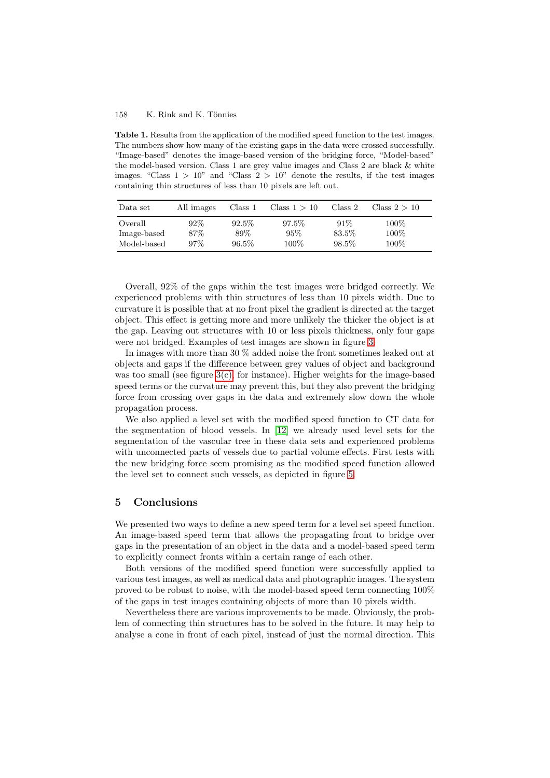#### 158 K. Rink and K. Tönnies

<span id="page-6-1"></span>**Table 1.** Results from the application of the modified speed function to the test images. The numbers show how many of the existing gaps in the data were crossed successfully. "Image-based" denotes the image-based version of the bridging force, "Model-based" the model-based version. Class 1 are grey value images and Class 2 are black & white images. "Class  $1 > 10$ " and "Class  $2 > 10$ " denote the results, if the test images containing thin structures of less than 10 pixels are left out.

| Data set    | All images | Class 1  | Class $1 > 10$ | Class 2 | Class $2 > 10$ |
|-------------|------------|----------|----------------|---------|----------------|
| Overall     | $92\%$     | $92.5\%$ | 97.5%          | 91%     | $100\%$        |
| Image-based | 87\%       | 89%      | 95%            | 83.5%   | $100\%$        |
| Model-based | $97\%$     | 96.5%    | 100%           | 98.5%   | $100\%$        |

Overall, 92% of the gaps within the test images were bridged correctly. We experienced problems with thin structures of less than 10 pixels width. Due to curvature it is possible that at no front pixel the gradient is directed at the target object. This effect is getting more and more unlikely the thicker the object is at the gap. Leaving out structures with 10 or less pixels thickness, only four gaps were not bridged. Examples of test images are shown in figure [3.](#page-7-0)

In images with more than 30 % added noise the front sometimes leaked out at objects and gaps if the difference between grey values of object and background was too small (see figure  $3(c)$ , for instance). Higher weights for the image-based speed terms or the curvature may prevent this, but they also prevent the bridging force from crossing over gaps in the data and extremely slow down the whole propagation process.

We also applied a level set with the modified speed function to CT data for the segmentation of blood vessels. In [\[12\]](#page-9-16) we already used level sets for the segmentation of the vascular tree in these data sets and experienced problems with unconnected parts of vessels due to partial volume effects. First tests with the new bridging force seem promising as the modified speed function allowed the level set to connect such vessels, as depicted in figure [5.](#page-8-0)

### <span id="page-6-0"></span>**5 Conclusions**

We presented two ways to define a new speed term for a level set speed function. An image-based speed term that allows the propagating front to bridge over gaps in the presentation of an object in the data and a model-based speed term to explicitly connect fronts within a certain range of each other.

Both versions of the modified speed function were successfully applied to various test images, as well as medical data and photographic images. The system proved to be robust to noise, with the model-based speed term connecting 100% of the gaps in test images containing objects of more than 10 pixels width.

Nevertheless there are various improvements to be made. Obviously, the problem of connecting thin structures has to be solved in the future. It may help to analyse a cone in front of each pixel, instead of just the normal direction. This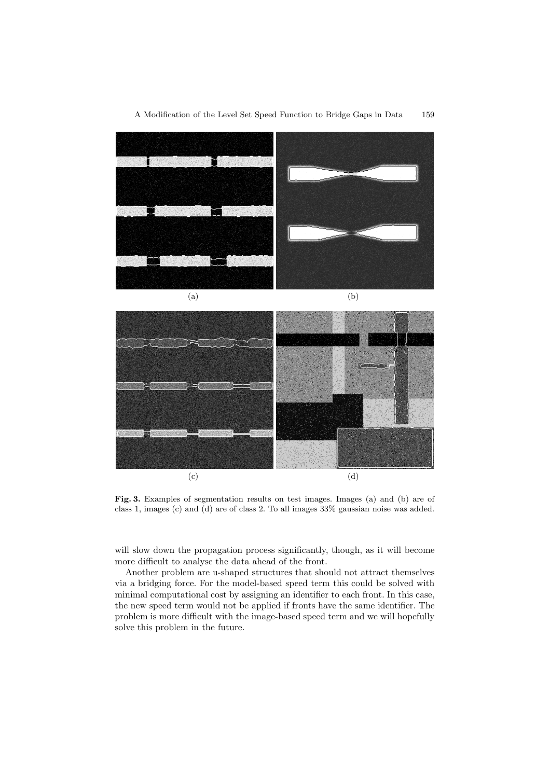<span id="page-7-1"></span>

#### A Modification of the Level Set Speed Function to Bridge Gaps in Data 159

<span id="page-7-0"></span>**Fig. 3.** Examples of segmentation results on test images. Images (a) and (b) are of class 1, images (c) and (d) are of class 2. To all images 33% gaussian noise was added.

will slow down the propagation process significantly, though, as it will become more difficult to analyse the data ahead of the front.

Another problem are u-shaped structures that should not attract themselves via a bridging force. For the model-based speed term this could be solved with minimal computational cost by assigning an identifier to each front. In this case, the new speed term would not be applied if fronts have the same identifier. The problem is more difficult with the image-based speed term and we will hopefully solve this problem in the future.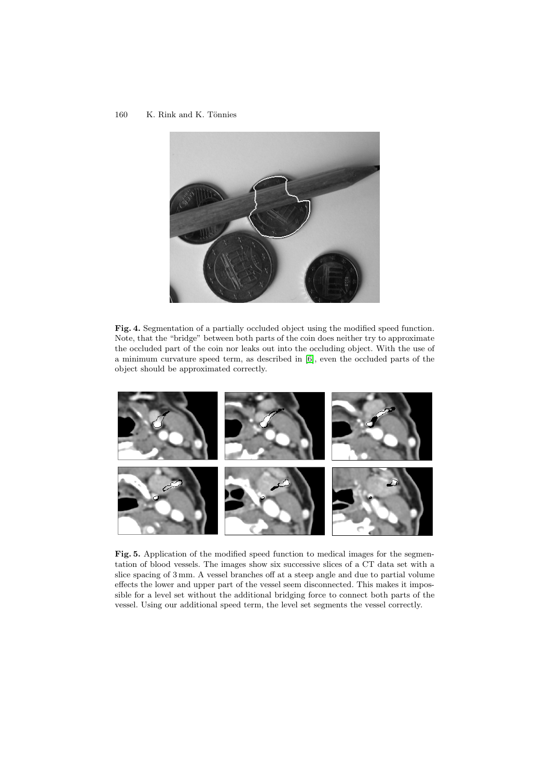#### 160 K. Rink and K. Tönnies



**Fig. 4.** Segmentation of a partially occluded object using the modified speed function. Note, that the "bridge" between both parts of the coin does neither try to approximate the occluded part of the coin nor leaks out into the occluding object. With the use of a minimum curvature speed term, as described in [\[6\]](#page-9-11), even the occluded parts of the object should be approximated correctly.



<span id="page-8-0"></span>Fig. 5. Application of the modified speed function to medical images for the segmentation of blood vessels. The images show six successive slices of a CT data set with a slice spacing of 3 mm. A vessel branches off at a steep angle and due to partial volume effects the lower and upper part of the vessel seem disconnected. This makes it impossible for a level set without the additional bridging force to connect both parts of the vessel. Using our additional speed term, the level set segments the vessel correctly.